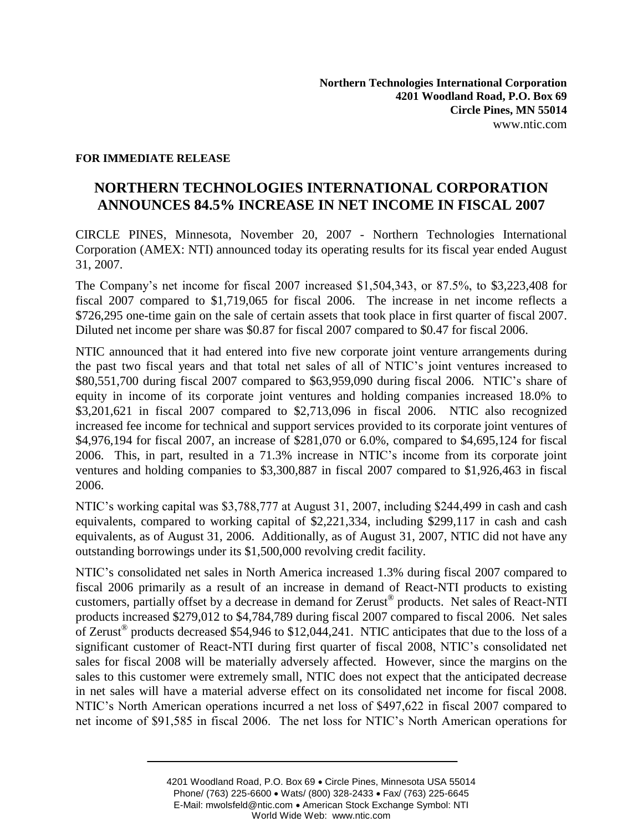### **FOR IMMEDIATE RELEASE**

# **NORTHERN TECHNOLOGIES INTERNATIONAL CORPORATION ANNOUNCES 84.5% INCREASE IN NET INCOME IN FISCAL 2007**

CIRCLE PINES, Minnesota, November 20, 2007 - Northern Technologies International Corporation (AMEX: NTI) announced today its operating results for its fiscal year ended August 31, 2007.

The Company's net income for fiscal 2007 increased \$1,504,343, or 87.5%, to \$3,223,408 for fiscal 2007 compared to \$1,719,065 for fiscal 2006. The increase in net income reflects a \$726,295 one-time gain on the sale of certain assets that took place in first quarter of fiscal 2007. Diluted net income per share was \$0.87 for fiscal 2007 compared to \$0.47 for fiscal 2006.

NTIC announced that it had entered into five new corporate joint venture arrangements during the past two fiscal years and that total net sales of all of NTIC's joint ventures increased to \$80,551,700 during fiscal 2007 compared to \$63,959,090 during fiscal 2006. NTIC's share of equity in income of its corporate joint ventures and holding companies increased 18.0% to \$3,201,621 in fiscal 2007 compared to \$2,713,096 in fiscal 2006. NTIC also recognized increased fee income for technical and support services provided to its corporate joint ventures of \$4,976,194 for fiscal 2007, an increase of \$281,070 or 6.0%, compared to \$4,695,124 for fiscal 2006. This, in part, resulted in a 71.3% increase in NTIC's income from its corporate joint ventures and holding companies to \$3,300,887 in fiscal 2007 compared to \$1,926,463 in fiscal 2006.

NTIC's working capital was \$3,788,777 at August 31, 2007, including \$244,499 in cash and cash equivalents, compared to working capital of \$2,221,334, including \$299,117 in cash and cash equivalents, as of August 31, 2006. Additionally, as of August 31, 2007, NTIC did not have any outstanding borrowings under its \$1,500,000 revolving credit facility.

NTIC's consolidated net sales in North America increased 1.3% during fiscal 2007 compared to fiscal 2006 primarily as a result of an increase in demand of React-NTI products to existing customers, partially offset by a decrease in demand for Zerust® products. Net sales of React-NTI products increased \$279,012 to \$4,784,789 during fiscal 2007 compared to fiscal 2006. Net sales of Zerust<sup>®</sup> products decreased \$54,946 to \$12,044,241. NTIC anticipates that due to the loss of a significant customer of React-NTI during first quarter of fiscal 2008, NTIC's consolidated net sales for fiscal 2008 will be materially adversely affected. However, since the margins on the sales to this customer were extremely small, NTIC does not expect that the anticipated decrease in net sales will have a material adverse effect on its consolidated net income for fiscal 2008. NTIC's North American operations incurred a net loss of \$497,622 in fiscal 2007 compared to net income of \$91,585 in fiscal 2006. The net loss for NTIC's North American operations for

<sup>4201</sup> Woodland Road, P.O. Box 69 Circle Pines, Minnesota USA 55014 Phone/ (763) 225-6600 • Wats/ (800) 328-2433 • Fax/ (763) 225-6645 E-Mail: mwolsfeld@ntic.com • American Stock Exchange Symbol: NTI World Wide Web: www.ntic.com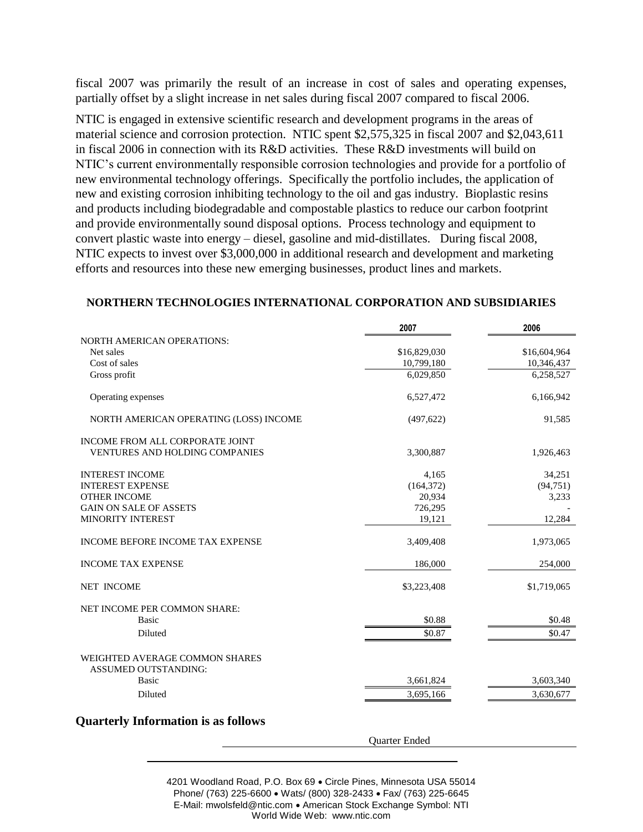fiscal 2007 was primarily the result of an increase in cost of sales and operating expenses, partially offset by a slight increase in net sales during fiscal 2007 compared to fiscal 2006.

NTIC is engaged in extensive scientific research and development programs in the areas of material science and corrosion protection. NTIC spent \$2,575,325 in fiscal 2007 and \$2,043,611 in fiscal 2006 in connection with its R&D activities. These R&D investments will build on NTIC's current environmentally responsible corrosion technologies and provide for a portfolio of new environmental technology offerings. Specifically the portfolio includes, the application of new and existing corrosion inhibiting technology to the oil and gas industry. Bioplastic resins and products including biodegradable and compostable plastics to reduce our carbon footprint and provide environmentally sound disposal options. Process technology and equipment to convert plastic waste into energy – diesel, gasoline and mid-distillates. During fiscal 2008, NTIC expects to invest over \$3,000,000 in additional research and development and marketing efforts and resources into these new emerging businesses, product lines and markets.

|                                                               | 2007                 | 2006         |
|---------------------------------------------------------------|----------------------|--------------|
| <b>NORTH AMERICAN OPERATIONS:</b>                             |                      |              |
| Net sales                                                     | \$16,829,030         | \$16,604,964 |
| Cost of sales                                                 | 10,799,180           | 10,346,437   |
| Gross profit                                                  | 6.029.850            | 6,258,527    |
| Operating expenses                                            | 6,527,472            | 6,166,942    |
| NORTH AMERICAN OPERATING (LOSS) INCOME                        | (497, 622)           | 91,585       |
| INCOME FROM ALL CORPORATE JOINT                               |                      |              |
| <b>VENTURES AND HOLDING COMPANIES</b>                         | 3,300,887            | 1,926,463    |
| <b>INTEREST INCOME</b>                                        | 4,165                | 34,251       |
| <b>INTEREST EXPENSE</b>                                       | (164, 372)           | (94, 751)    |
| <b>OTHER INCOME</b>                                           | 20,934               | 3,233        |
| <b>GAIN ON SALE OF ASSETS</b>                                 | 726,295              |              |
| <b>MINORITY INTEREST</b>                                      | 19,121               | 12,284       |
| <b>INCOME BEFORE INCOME TAX EXPENSE</b>                       | 3,409,408            | 1,973,065    |
| <b>INCOME TAX EXPENSE</b>                                     | 186,000              | 254,000      |
| <b>NET INCOME</b>                                             | \$3,223,408          | \$1,719,065  |
| NET INCOME PER COMMON SHARE:                                  |                      |              |
| <b>Basic</b>                                                  | \$0.88               | \$0.48       |
| <b>Diluted</b>                                                | \$0.87               | \$0.47       |
| WEIGHTED AVERAGE COMMON SHARES<br><b>ASSUMED OUTSTANDING:</b> |                      |              |
| <b>Basic</b>                                                  | 3,661,824            | 3,603,340    |
| Diluted                                                       | 3,695,166            | 3,630,677    |
| <b>Quarterly Information is as follows</b>                    |                      |              |
|                                                               | <b>Ouarter Ended</b> |              |

#### **NORTHERN TECHNOLOGIES INTERNATIONAL CORPORATION AND SUBSIDIARIES**

4201 Woodland Road, P.O. Box 69 Circle Pines, Minnesota USA 55014 Phone/ (763) 225-6600 · Wats/ (800) 328-2433 · Fax/ (763) 225-6645 E-Mail: mwolsfeld@ntic.com • American Stock Exchange Symbol: NTI World Wide Web: www.ntic.com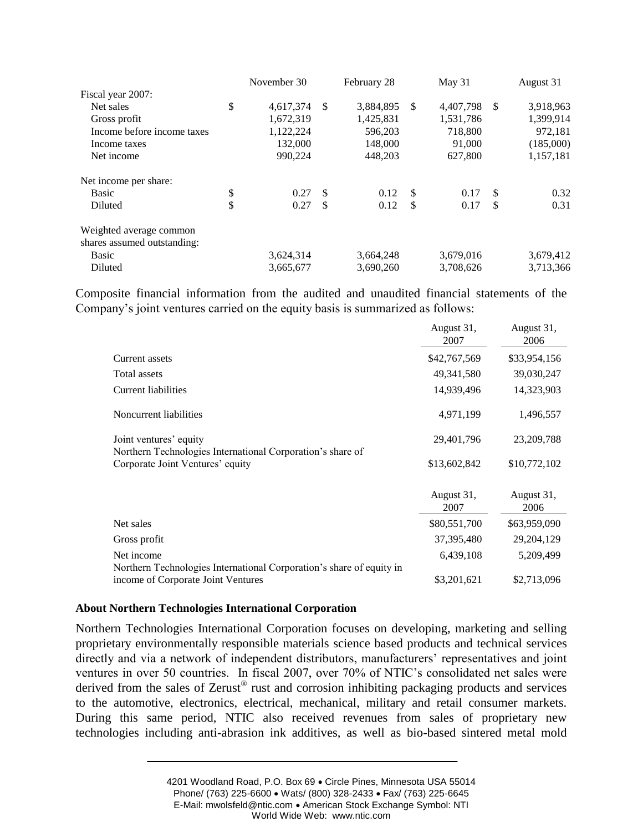|                             | November 30     |    | February 28 |               | May 31    |    | August 31 |
|-----------------------------|-----------------|----|-------------|---------------|-----------|----|-----------|
| Fiscal year 2007:           |                 |    |             |               |           |    |           |
| Net sales                   | \$<br>4,617,374 | \$ | 3,884,895   | <sup>\$</sup> | 4,407,798 | -S | 3,918,963 |
| Gross profit                | 1,672,319       |    | 1,425,831   |               | 1,531,786 |    | 1,399,914 |
| Income before income taxes  | 1,122,224       |    | 596.203     |               | 718,800   |    | 972,181   |
| Income taxes                | 132,000         |    | 148,000     |               | 91,000    |    | (185,000) |
| Net income                  | 990,224         |    | 448,203     |               | 627,800   |    | 1,157,181 |
| Net income per share:       |                 |    |             |               |           |    |           |
| <b>Basic</b>                | \$<br>0.27      | -S | 0.12        | -\$           | 0.17      | S  | 0.32      |
| Diluted                     | \$<br>0.27      | \$ | 0.12        | S             | 0.17      | S  | 0.31      |
| Weighted average common     |                 |    |             |               |           |    |           |
| shares assumed outstanding: |                 |    |             |               |           |    |           |
| <b>Basic</b>                | 3,624,314       |    | 3,664,248   |               | 3,679,016 |    | 3,679,412 |
| Diluted                     | 3,665,677       |    | 3.690.260   |               | 3,708,626 |    | 3,713,366 |

Composite financial information from the audited and unaudited financial statements of the Company's joint ventures carried on the equity basis is summarized as follows:

|                                                                                                            | August 31,<br>2007 | August 31,<br>2006 |
|------------------------------------------------------------------------------------------------------------|--------------------|--------------------|
| Current assets                                                                                             | \$42,767,569       | \$33,954,156       |
| Total assets                                                                                               | 49, 341, 580       | 39,030,247         |
| Current liabilities                                                                                        | 14,939,496         | 14,323,903         |
| Noncurrent liabilities                                                                                     | 4,971,199          | 1,496,557          |
| Joint ventures' equity<br>Northern Technologies International Corporation's share of                       | 29,401,796         | 23, 209, 788       |
| Corporate Joint Ventures' equity                                                                           | \$13,602,842       | \$10,772,102       |
|                                                                                                            | August 31,<br>2007 | August 31,<br>2006 |
| Net sales                                                                                                  | \$80,551,700       | \$63,959,090       |
| Gross profit                                                                                               | 37, 395, 480       | 29,204,129         |
| Net income                                                                                                 | 6,439,108          | 5,209,499          |
| Northern Technologies International Corporation's share of equity in<br>income of Corporate Joint Ventures | \$3,201,621        | \$2,713,096        |

#### **About Northern Technologies International Corporation**

Northern Technologies International Corporation focuses on developing, marketing and selling proprietary environmentally responsible materials science based products and technical services directly and via a network of independent distributors, manufacturers' representatives and joint ventures in over 50 countries. In fiscal 2007, over 70% of NTIC's consolidated net sales were derived from the sales of Zerust<sup>®</sup> rust and corrosion inhibiting packaging products and services to the automotive, electronics, electrical, mechanical, military and retail consumer markets. During this same period, NTIC also received revenues from sales of proprietary new technologies including anti-abrasion ink additives, as well as bio-based sintered metal mold

<sup>4201</sup> Woodland Road, P.O. Box 69 Circle Pines, Minnesota USA 55014 Phone/ (763) 225-6600 · Wats/ (800) 328-2433 · Fax/ (763) 225-6645 E-Mail: mwolsfeld@ntic.com • American Stock Exchange Symbol: NTI World Wide Web: www.ntic.com